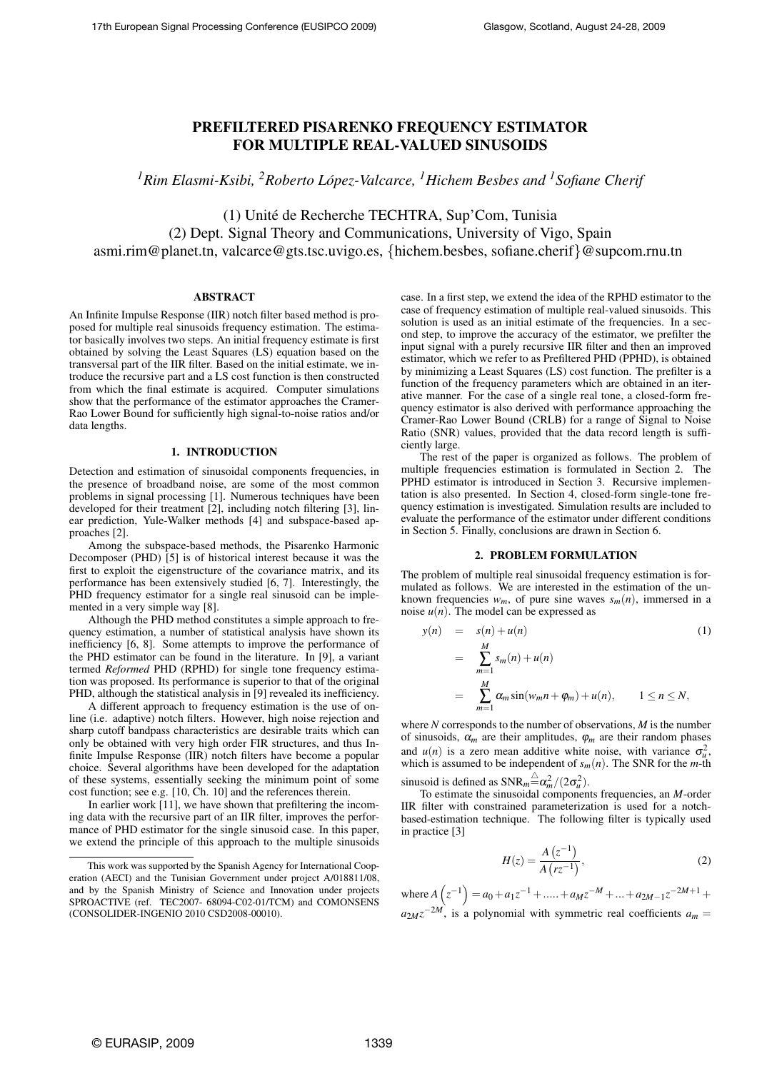# PREFILTERED PISARENKO FREQUENCY ESTIMATOR FOR MULTIPLE REAL-VALUED SINUSOIDS

*<sup>1</sup>Rim Elasmi-Ksibi, <sup>2</sup>Roberto Lopez-Valcarce, ´ <sup>1</sup>Hichem Besbes and <sup>1</sup>Sofiane Cherif*

(1) Unite de Recherche TECHTRA, Sup'Com, Tunisia ´ (2) Dept. Signal Theory and Communications, University of Vigo, Spain asmi.rim@planet.tn, valcarce@gts.tsc.uvigo.es, {hichem.besbes, sofiane.cherif}@supcom.rnu.tn

## ABSTRACT

An Infinite Impulse Response (IIR) notch filter based method is proposed for multiple real sinusoids frequency estimation. The estimator basically involves two steps. An initial frequency estimate is first obtained by solving the Least Squares (LS) equation based on the transversal part of the IIR filter. Based on the initial estimate, we introduce the recursive part and a LS cost function is then constructed from which the final estimate is acquired. Computer simulations show that the performance of the estimator approaches the Cramer-Rao Lower Bound for sufficiently high signal-to-noise ratios and/or data lengths.

## 1. INTRODUCTION

Detection and estimation of sinusoidal components frequencies, in the presence of broadband noise, are some of the most common problems in signal processing [1]. Numerous techniques have been developed for their treatment [2], including notch filtering [3], linear prediction, Yule-Walker methods [4] and subspace-based approaches [2].

Among the subspace-based methods, the Pisarenko Harmonic Decomposer (PHD) [5] is of historical interest because it was the first to exploit the eigenstructure of the covariance matrix, and its performance has been extensively studied [6, 7]. Interestingly, the PHD frequency estimator for a single real sinusoid can be implemented in a very simple way [8].

Although the PHD method constitutes a simple approach to frequency estimation, a number of statistical analysis have shown its inefficiency [6, 8]. Some attempts to improve the performance of the PHD estimator can be found in the literature. In [9], a variant termed *Reformed* PHD (RPHD) for single tone frequency estimation was proposed. Its performance is superior to that of the original PHD, although the statistical analysis in [9] revealed its inefficiency.

A different approach to frequency estimation is the use of online (i.e. adaptive) notch filters. However, high noise rejection and sharp cutoff bandpass characteristics are desirable traits which can only be obtained with very high order FIR structures, and thus Infinite Impulse Response (IIR) notch filters have become a popular choice. Several algorithms have been developed for the adaptation of these systems, essentially seeking the minimum point of some cost function; see e.g. [10, Ch. 10] and the references therein.

In earlier work [11], we have shown that prefiltering the incoming data with the recursive part of an IIR filter, improves the performance of PHD estimator for the single sinusoid case. In this paper, we extend the principle of this approach to the multiple sinusoids case. In a first step, we extend the idea of the RPHD estimator to the case of frequency estimation of multiple real-valued sinusoids. This solution is used as an initial estimate of the frequencies. In a second step, to improve the accuracy of the estimator, we prefilter the input signal with a purely recursive IIR filter and then an improved estimator, which we refer to as Prefiltered PHD (PPHD), is obtained by minimizing a Least Squares (LS) cost function. The prefilter is a function of the frequency parameters which are obtained in an iterative manner. For the case of a single real tone, a closed-form frequency estimator is also derived with performance approaching the Cramer-Rao Lower Bound (CRLB) for a range of Signal to Noise Ratio (SNR) values, provided that the data record length is sufficiently large.

The rest of the paper is organized as follows. The problem of multiple frequencies estimation is formulated in Section 2. The PPHD estimator is introduced in Section 3. Recursive implementation is also presented. In Section 4, closed-form single-tone frequency estimation is investigated. Simulation results are included to evaluate the performance of the estimator under different conditions in Section 5. Finally, conclusions are drawn in Section 6.

### 2. PROBLEM FORMULATION

The problem of multiple real sinusoidal frequency estimation is formulated as follows. We are interested in the estimation of the unknown frequencies  $w_m$ , of pure sine waves  $s_m(n)$ , immersed in a noise  $u(n)$ . The model can be expressed as

$$
y(n) = s(n) + u(n)
$$
\n
$$
= \sum_{m=1}^{M} s_m(n) + u(n)
$$
\n
$$
= \sum_{m=1}^{M} \alpha_m \sin(w_m n + \varphi_m) + u(n), \qquad 1 \le n \le N,
$$
\n(1)

where *N* corresponds to the number of observations, *M* is the number of sinusoids,  $\alpha_m$  are their amplitudes,  $\varphi_m$  are their random phases and  $u(n)$  is a zero mean additive white noise, with variance  $\sigma_u^2$ , which is assumed to be independent of  $s_m(n)$ . The SNR for the *m*-th sinusoid is defined as  $SNR_m \triangleq \alpha_m^2/(2\sigma_u^2)$ .

To estimate the sinusoidal components frequencies, an *M*-order IIR filter with constrained parameterization is used for a notchbased-estimation technique. The following filter is typically used in practice [3]

$$
H(z) = \frac{A(z^{-1})}{A(rz^{-1})},
$$
\n(2)

where *A*  $\overline{a}$  $z^{-1}$ )  $= a_0 + a_1 z^{-1} + \dots + a_M z^{-M} + \dots + a_{2M-1} z^{-2M+1} +$  $a_{2M}z^{-2M}$ , is a polynomial with symmetric real coefficients  $a_m =$ 

This work was supported by the Spanish Agency for International Cooperation (AECI) and the Tunisian Government under project A/018811/08, and by the Spanish Ministry of Science and Innovation under projects SPROACTIVE (ref. TEC2007- 68094-C02-01/TCM) and COMONSENS (CONSOLIDER-INGENIO 2010 CSD2008-00010).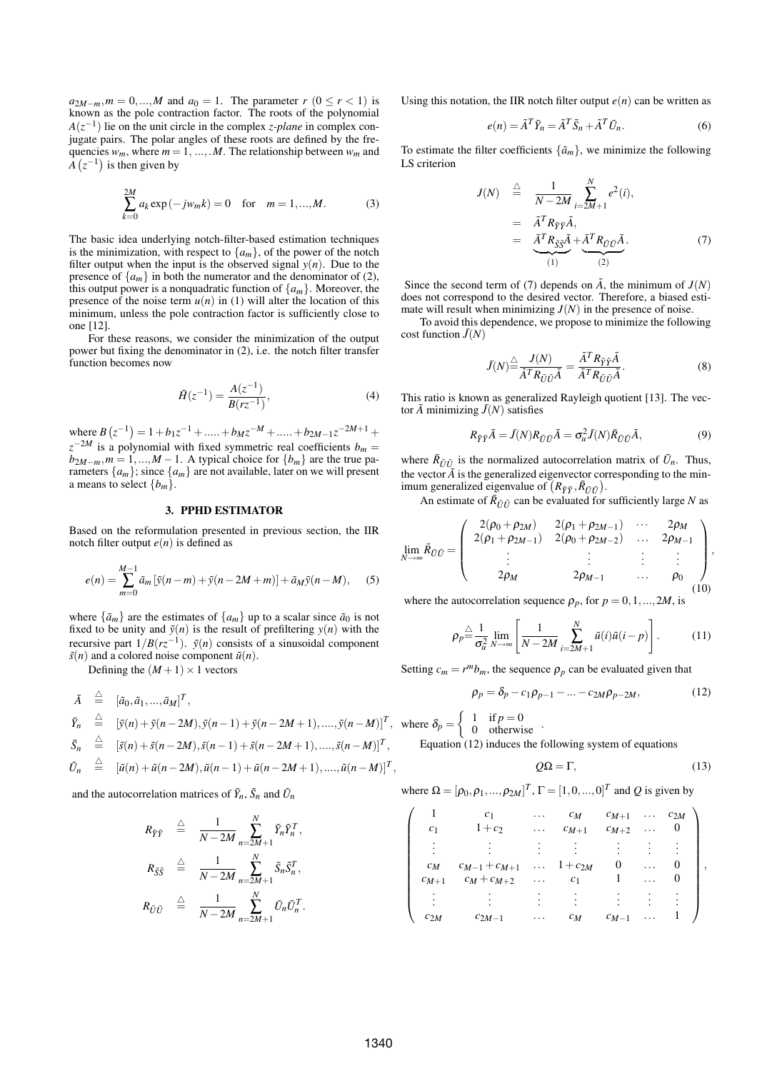$a_{2M-m}, m = 0, \ldots, M$  and  $a_0 = 1$ . The parameter  $r$  ( $0 \le r < 1$ ) is known as the pole contraction factor. The roots of the polynomial  $A(z^{-1})$  lie on the unit circle in the complex *z-plane* in complex conjugate pairs. The polar angles of these roots are defined by the frequencies  $w_m$ , where  $m = 1, ..., M$ . The relationship between  $w_m$  and  $\overline{A}(z^{-1})$  is then given by

$$
\sum_{k=0}^{2M} a_k \exp(-j w_m k) = 0 \quad \text{for} \quad m = 1, ..., M. \tag{3}
$$

The basic idea underlying notch-filter-based estimation techniques is the minimization, with respect to  $\{a_m\}$ , of the power of the notch filter output when the input is the observed signal  $y(n)$ . Due to the presence of  $\{a_m\}$  in both the numerator and the denominator of (2), this output power is a nonquadratic function of  $\{a_m\}$ . Moreover, the presence of the noise term  $u(n)$  in (1) will alter the location of this minimum, unless the pole contraction factor is sufficiently close to one [12].

For these reasons, we consider the minimization of the output power but fixing the denominator in (2), i.e. the notch filter transfer function becomes now

$$
\bar{H}(z^{-1}) = \frac{A(z^{-1})}{B(rz^{-1})},\tag{4}
$$

where  $B(z^{-1}) = 1 + b_1 z^{-1} + \dots + b_M z^{-M} + \dots + b_{2M-1} z^{-2M+1} +$  $z^{-2M}$  is a polynomial with fixed symmetric real coefficients  $b_m =$  $b_{2M-m}$ ,  $m = 1, ..., M - 1$ . A typical choice for  $\{b_m\}$  are the true parameters  $\{a_m\}$ ; since  $\{a_m\}$  are not available, later on we will present a means to select  ${b_m}$ .

### 3. PPHD ESTIMATOR

Based on the reformulation presented in previous section, the IIR notch filter output  $e(n)$  is defined as

$$
e(n) = \sum_{m=0}^{M-1} \tilde{a}_m [\tilde{y}(n-m) + \tilde{y}(n-2M+m)] + \tilde{a}_M \tilde{y}(n-M),
$$
 (5)

where  $\{\tilde{a}_m\}$  are the estimates of  $\{a_m\}$  up to a scalar since  $\tilde{a}_0$  is not fixed to be unity and  $\tilde{y}(n)$  is the result of prefiltering  $y(n)$  with the recursive part  $1/B(rz^{-1})$ .  $\tilde{y}(n)$  consists of a sinusoidal component  $\tilde{s}(n)$  and a colored noise component  $\tilde{u}(n)$ .

Defining the  $(M+1) \times 1$  vectors

$$
\begin{array}{rcl}\n\tilde{A} & \triangleq & [\tilde{a}_0, \tilde{a}_1, \ldots, \tilde{a}_M]^T, \\
\tilde{Y}_n & \triangleq & [\tilde{y}(n) + \tilde{y}(n - 2M), \tilde{y}(n - 1) + \tilde{y}(n - 2M + 1), \ldots, \tilde{y}(n - M)]^T, \\
\tilde{S}_n & \triangleq & [\tilde{s}(n) + \tilde{s}(n - 2M), \tilde{s}(n - 1) + \tilde{s}(n - 2M + 1), \ldots, \tilde{s}(n - M)]^T,\n\end{array}
$$

$$
\tilde{U}_n \stackrel{\triangle}{=} [\tilde{u}(n) + \tilde{u}(n-2M), \tilde{u}(n-1) + \tilde{u}(n-2M+1), \dots, \tilde{u}(n-M)]^T,
$$

and the autocorrelation matrices of  $\tilde{Y}_n$ ,  $\tilde{S}_n$  and  $\tilde{U}_n$ 

$$
R_{\tilde{Y}\tilde{Y}} \triangleq \frac{1}{N-2M} \sum_{n=2M+1}^{N} \tilde{Y}_n \tilde{Y}_n^T,
$$
  

$$
R_{\tilde{S}\tilde{S}} \triangleq \frac{1}{N-2M} \sum_{n=2M+1}^{N} \tilde{S}_n \tilde{S}_n^T,
$$
  

$$
R_{\tilde{U}\tilde{U}} \triangleq \frac{1}{N-2M} \sum_{n=2M+1}^{N} \tilde{U}_n \tilde{U}_n^T.
$$

Using this notation, the IIR notch filter output  $e(n)$  can be written as

$$
e(n) = \tilde{A}^T \tilde{Y}_n = \tilde{A}^T \tilde{S}_n + \tilde{A}^T \tilde{U}_n.
$$
 (6)

To estimate the filter coefficients  $\{\tilde{a}_m\}$ , we minimize the following LS criterion

$$
J(N) \stackrel{\triangle}{=} \frac{1}{N - 2M} \sum_{i=2M+1}^{N} e^{2}(i),
$$
  

$$
= \tilde{A}^{T} R_{\tilde{Y}\tilde{Y}} \tilde{A},
$$
  

$$
= \underbrace{\tilde{A}^{T} R_{\tilde{S}\tilde{S}} \tilde{A}}_{(1)} + \underbrace{\tilde{A}^{T} R_{\tilde{U}\tilde{U}} \tilde{A}}_{(2)}.
$$
 (7)

Since the second term of (7) depends on  $\tilde{A}$ , the minimum of  $J(N)$ does not correspond to the desired vector. Therefore, a biased estimate will result when minimizing  $J(N)$  in the presence of noise.

To avoid this dependence, we propose to minimize the following cost function  $\bar{J}(N)$ 

$$
\bar{J}(N) \stackrel{\triangle}{=} \frac{J(N)}{\bar{A}^T R_{\tilde{U}\tilde{U}} \tilde{A}} = \frac{\tilde{A}^T R_{\tilde{Y}\tilde{Y}} \tilde{A}}{\tilde{A}^T R_{\tilde{U}\tilde{U}} \tilde{A}}.
$$
 (8)

This ratio is known as generalized Rayleigh quotient [13]. The vector  $\tilde{A}$  minimizing  $\bar{J}(N)$  satisfies

$$
R_{\tilde{Y}\tilde{Y}}\tilde{A} = \bar{J}(N)R_{\tilde{U}\tilde{U}}\tilde{A} = \sigma_u^2 \bar{J}(N)\bar{R}_{\tilde{U}\tilde{U}}\tilde{A},\tag{9}
$$

where  $\bar{R}_{\bar{U}\bar{U}}$  is the normalized autocorrelation matrix of  $\tilde{U}_n$ . Thus, the vector  $\tilde{A}$  is the generalized eigenvector corresponding to the minthe vector *A* is the generalized eigenvector continum generalized eigenvalue of  $(R_{\tilde{Y}\tilde{Y}}, \bar{R}_{\tilde{U}\tilde{U}})$ .

An estimate of  $\overline{R}_{\tilde{U}\tilde{U}}$  can be evaluated for sufficiently large *N* as

$$
\lim_{N \to \infty} \bar{R}_{\tilde{U}\tilde{U}} = \begin{pmatrix} 2(\rho_0 + \rho_{2M}) & 2(\rho_1 + \rho_{2M-1}) & \cdots & 2\rho_M \\ 2(\rho_1 + \rho_{2M-1}) & 2(\rho_0 + \rho_{2M-2}) & \cdots & 2\rho_{M-1} \\ \vdots & \vdots & \vdots & \vdots & \vdots \\ 2\rho_M & 2\rho_{M-1} & \cdots & \rho_0 \end{pmatrix},
$$
\n(10)

where the autocorrelation sequence  $\rho_p$ , for  $p = 0, 1, \ldots, 2M$ , is

$$
\rho_p \stackrel{\triangle}{=} \frac{1}{\sigma_u^2} \lim_{N \to \infty} \left[ \frac{1}{N - 2M} \sum_{i=2M+1}^{N} \tilde{u}(i)\tilde{u}(i-p) \right]. \tag{11}
$$

Setting  $c_m = r^m b_m$ , the sequence  $\rho_p$  can be evaluated given that

$$
\rho_p = \delta_p - c_1 \rho_{p-1} - \dots - c_{2M} \rho_{p-2M},
$$
\n(12)

where  $\delta_p =$  $\begin{cases} 1 & \text{if } p = 0 \\ 0 & \text{otherwise} \end{cases}$ Equation  $(12)$  induces the following system of equations

$$
Q\Omega = \Gamma,\tag{13}
$$

where 
$$
\Omega = [\rho_0, \rho_1, ..., \rho_{2M}]^T
$$
,  $\Gamma = [1, 0, ..., 0]^T$  and Q is given by

| c <sub>1</sub> | c <sub>1</sub><br>$1 + c_2$ | .<br>$\cdots$ | $c_M$<br>$c_{M+1}$ | $c_{M+1}$<br>$c_{M+2}$ | $\cdots$<br>. | $c_{2M}$<br>$\theta$ |  |
|----------------|-----------------------------|---------------|--------------------|------------------------|---------------|----------------------|--|
|                |                             |               |                    |                        |               |                      |  |
| $c_M$          | $c_{M-1} + c_{M+1}$         | $\cdots$      | $1 + c_{2M}$       | 0                      | .             | O                    |  |
| $c_{M+1}$      | $c_M+c_{M+2}$               | $\ldots$      | c <sub>1</sub>     |                        | .             | U                    |  |
|                |                             |               |                    |                        |               |                      |  |
| $c_{2M}$       | $c_{2M-1}$                  |               | $c_M$              | $c_{M-1}$              |               |                      |  |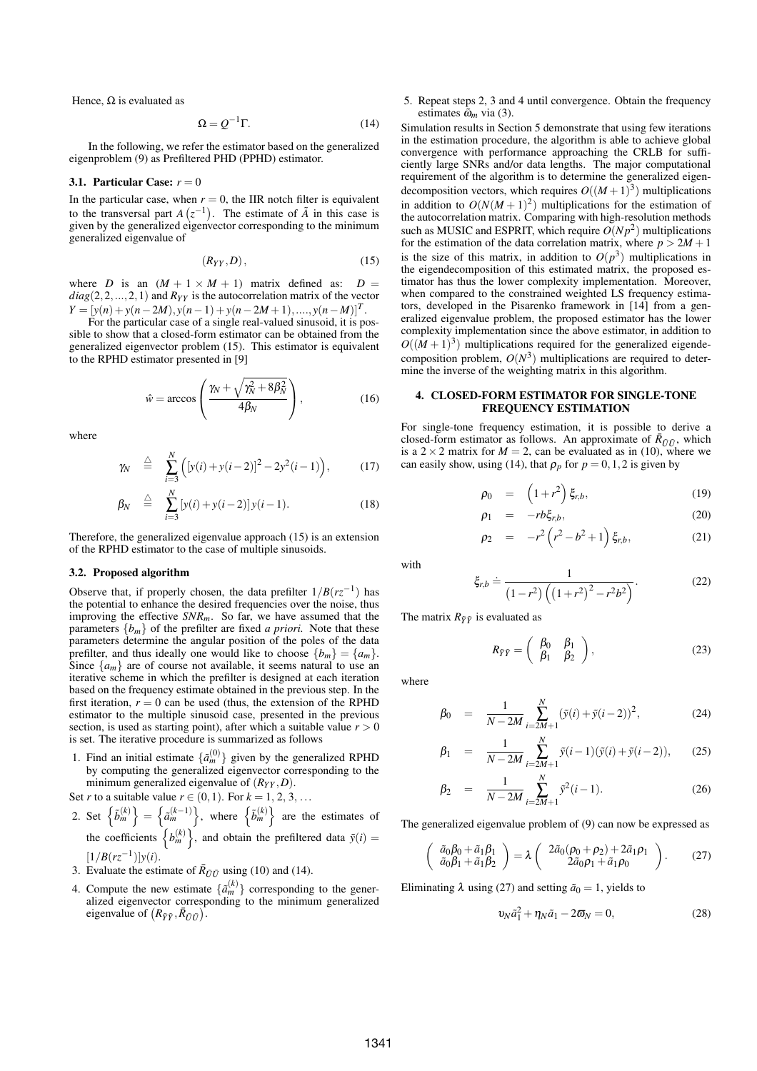Hence,  $\Omega$  is evaluated as

$$
\Omega = Q^{-1}\Gamma. \tag{14}
$$

In the following, we refer the estimator based on the generalized eigenproblem (9) as Prefiltered PHD (PPHD) estimator.

### 3.1. Particular Case:  $r = 0$

In the particular case, when  $r = 0$ , the IIR notch filter is equivalent to the transversal part  $A(z^{-1})$ . The estimate of  $\tilde{A}$  in this case is given by the generalized eigenvector corresponding to the minimum generalized eigenvalue of

$$
(R_{YY}, D)\,,\tag{15}
$$

where *D* is an  $(M + 1 \times M + 1)$  matrix defined as:  $D =$  $diag(2,2,...,2,1)$  and  $R_{YY}$  is the autocorrelation matrix of the vector  $Y = [y(n) + y(n-2M), y(n-1) + y(n-2M+1), \ldots, y(n-M)]^T$ .

For the particular case of a single real-valued sinusoid, it is possible to show that a closed-form estimator can be obtained from the generalized eigenvector problem (15). This estimator is equivalent to the RPHD estimator presented in [9]

$$
\hat{w} = \arccos\left(\frac{\gamma_N + \sqrt{\gamma_N^2 + 8\beta_N^2}}{4\beta_N}\right),\tag{16}
$$

where

$$
\gamma_N \quad \stackrel{\triangle}{=} \quad \sum_{i=3}^N \Big( [y(i) + y(i-2)]^2 - 2y^2(i-1) \Big), \tag{17}
$$

$$
\beta_N \quad \stackrel{\triangle}{=} \quad \sum_{i=3}^N \left[ y(i) + y(i-2) \right] y(i-1). \tag{18}
$$

Therefore, the generalized eigenvalue approach (15) is an extension of the RPHD estimator to the case of multiple sinusoids.

#### 3.2. Proposed algorithm

Observe that, if properly chosen, the data prefilter  $1/B(rz^{-1})$  has the potential to enhance the desired frequencies over the noise, thus improving the effective *SNRm*. So far, we have assumed that the parameters  ${b_m}$  of the prefilter are fixed *a priori*. Note that these parameters determine the angular position of the poles of the data prefilter, and thus ideally one would like to choose  $\{b_m\} = \{a_m\}.$ Since  $\{a_m\}$  are of course not available, it seems natural to use an iterative scheme in which the prefilter is designed at each iteration based on the frequency estimate obtained in the previous step. In the first iteration,  $r = 0$  can be used (thus, the extension of the RPHD estimator to the multiple sinusoid case, presented in the previous section, is used as starting point), after which a suitable value  $r > 0$ is set. The iterative procedure is summarized as follows

1. Find an initial estimate  $\{\tilde{a}_m^{(0)}\}$  given by the generalized RPHD by computing the generalized eigenvector corresponding to the minimum generalized eigenvalue of  $(R_{YY}, D)$ .

Set *r* to a suitable value  $r \in (0,1)$ . For  $k = 1, 2, 3, ...$ ac<br>N  $\frac{a_1}{c_1}$ ',

- 2. Set  $\begin{cases} \tilde{b}_m^{(k)} \end{cases}$ =  $\tilde{a}_m^{(k-1)}$  $\begin{cases} (0, 1) & \text{for } k = 1 \\ 0, \\ k \end{cases}$ Set  $\{\tilde{b}_m^{(k)}\} = \{\tilde{a}_m^{(k-1)}\}\$ , where  $\{\tilde{b}_m^{(k)}\}\$  are the estimates of<br>the coefficients  $\{b_m^{(k)}\}\$ , and obtain the prefiltered data  $\tilde{y}(i) =$ o , and obtain the prefiltered data  $\tilde{y}(i)$  =  $[1/B(rz^{-1})]y(i).$
- 3. Evaluate the estimate of  $\bar{R}_{\tilde{U}\tilde{U}}$  using (10) and (14).
- 4. Compute the new estimate  $\{\tilde{a}_m^{(k)}\}$  corresponding to the generalized eigenvector corresponding to the minimum generalized alized eigenvector corresp<br>eigenvalue of  $(R_{\tilde{Y}\tilde{Y}}, \bar{R}_{\tilde{U}\tilde{U}})$ .

5. Repeat steps 2, 3 and 4 until convergence. Obtain the frequency estimates  $\tilde{\omega}_m$  via (3).

Simulation results in Section 5 demonstrate that using few iterations in the estimation procedure, the algorithm is able to achieve global convergence with performance approaching the CRLB for sufficiently large SNRs and/or data lengths. The major computational requirement of the algorithm is to determine the generalized eigendecomposition vectors, which requires  $O((M+1)^3)$  multiplications in addition to  $O(N(M+1)^2)$  multiplications for the estimation of the autocorrelation matrix. Comparing with high-resolution methods such as MUSIC and ESPRIT, which require  $O(Np^2)$  multiplications for the estimation of the data correlation matrix, where  $p > 2M + 1$ is the size of this matrix, in addition to  $O(p^3)$  multiplications in the eigendecomposition of this estimated matrix, the proposed estimator has thus the lower complexity implementation. Moreover, when compared to the constrained weighted LS frequency estimators, developed in the Pisarenko framework in [14] from a generalized eigenvalue problem, the proposed estimator has the lower complexity implementation since the above estimator, in addition to  $O((M+1)^3)$  multiplications required for the generalized eigendecomposition problem,  $O(N^3)$  multiplications are required to determine the inverse of the weighting matrix in this algorithm.

### 4. CLOSED-FORM ESTIMATOR FOR SINGLE-TONE FREQUENCY ESTIMATION

For single-tone frequency estimation, it is possible to derive a closed-form estimator as follows. An approximate of  $\bar{R}_{\tilde{U}\tilde{U}}$ , which is a  $2 \times 2$  matrix for  $M = 2$ , can be evaluated as in (10), where we can easily show, using (14), that  $\rho_p$  for  $p = 0, 1, 2$  is given by

$$
\rho_0 = \left(1 + r^2\right) \xi_{r,b}, \tag{19}
$$

$$
\rho_1 = -rb\xi_{r,b},\tag{20}
$$

$$
\rho_2 = -r^2 \left( r^2 - b^2 + 1 \right) \xi_{r,b}, \tag{21}
$$

with

$$
\xi_{r,b} \doteq \frac{1}{\left(1 - r^2\right) \left(\left(1 + r^2\right)^2 - r^2 b^2\right)}.
$$
 (22)

The matrix  $R_{\tilde{Y}\tilde{Y}}$  is evaluated as

$$
R_{\tilde{Y}\tilde{Y}} = \begin{pmatrix} \beta_0 & \beta_1 \\ \beta_1 & \beta_2 \end{pmatrix}, \tag{23}
$$

where

$$
\beta_0 = \frac{1}{N - 2M} \sum_{i=2M+1}^{N} (\tilde{y}(i) + \tilde{y}(i-2))^2, \tag{24}
$$

$$
\beta_1 = \frac{1}{N - 2M} \sum_{i=2M+1}^{N} \tilde{y}(i-1)(\tilde{y}(i) + \tilde{y}(i-2)), \qquad (25)
$$

$$
\beta_2 = \frac{1}{N - 2M} \sum_{i=2M+1}^{N} \tilde{y}^2(i-1). \tag{26}
$$

The generalized eigenvalue problem of (9) can now be expressed as

$$
\begin{pmatrix}\n\tilde{a}_0\beta_0 + \tilde{a}_1\beta_1 \\
\tilde{a}_0\beta_1 + \tilde{a}_1\beta_2\n\end{pmatrix} = \lambda \begin{pmatrix}\n2\tilde{a}_0(\rho_0 + \rho_2) + 2\tilde{a}_1\rho_1 \\
2\tilde{a}_0\rho_1 + \tilde{a}_1\rho_0\n\end{pmatrix}.
$$
\n(27)

Eliminating  $\lambda$  using (27) and setting  $\tilde{a}_0 = 1$ , yields to

$$
\upsilon_N \tilde{a}_1^2 + \eta_N \tilde{a}_1 - 2\varpi_N = 0, \qquad (28)
$$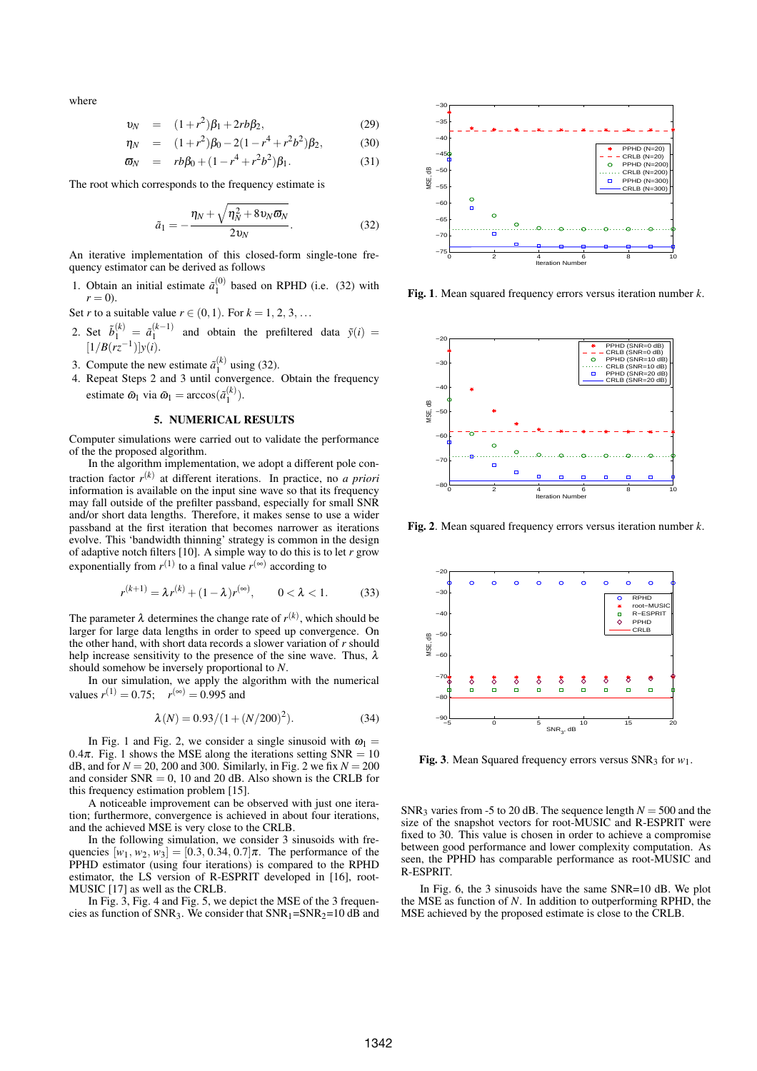where

$$
v_N = (1 + r^2)\beta_1 + 2rb\beta_2, \tag{29}
$$

$$
\eta_N = (1+r^2)\beta_0 - 2(1-r^4+r^2b^2)\beta_2, \qquad (30)
$$

$$
\varpi_N = rb\beta_0 + (1 - r^4 + r^2b^2)\beta_1. \tag{31}
$$

The root which corresponds to the frequency estimate is

$$
\tilde{a}_1 = -\frac{\eta_N + \sqrt{\eta_N^2 + 8v_N\varpi_N}}{2v_N}.
$$
\n(32)

An iterative implementation of this closed-form single-tone frequency estimator can be derived as follows

- 1. Obtain an initial estimate  $\tilde{a}_1^{(0)}$  based on RPHD (i.e. (32) with  $r = 0$ ).
- Set *r* to a suitable value  $r \in (0, 1)$ . For  $k = 1, 2, 3, ...$
- 2. Set  $\tilde{b}_1^{(k)} = \tilde{a}_1^{(k-1)}$  and obtain the prefiltered data  $\tilde{y}(i) =$  $[1/B(rz^{-1})]y(i).$
- 3. Compute the new estimate  $\tilde{a}_{1}^{(k)}$  using (32).
- 4. Repeat Steps 2 and 3 until convergence. Obtain the frequency estimate  $\tilde{\omega}_1$  via  $\tilde{\omega}_1 = \arccos(\tilde{a}_1^{(k)})$ .

# 5. NUMERICAL RESULTS

Computer simulations were carried out to validate the performance of the the proposed algorithm.

In the algorithm implementation, we adopt a different pole contraction factor *r* (*k*) at different iterations. In practice, no *a priori* information is available on the input sine wave so that its frequency may fall outside of the prefilter passband, especially for small SNR and/or short data lengths. Therefore, it makes sense to use a wider passband at the first iteration that becomes narrower as iterations evolve. This 'bandwidth thinning' strategy is common in the design of adaptive notch filters [10]. A simple way to do this is to let *r* grow exponentially from  $r^{(1)}$  to a final value  $r^{(\infty)}$  according to

$$
r^{(k+1)} = \lambda r^{(k)} + (1 - \lambda) r^{(\infty)}, \qquad 0 < \lambda < 1. \tag{33}
$$

The parameter  $\lambda$  determines the change rate of  $r^{(k)}$ , which should be larger for large data lengths in order to speed up convergence. On the other hand, with short data records a slower variation of *r* should help increase sensitivity to the presence of the sine wave. Thus,  $\lambda$ should somehow be inversely proportional to *N*.

In our simulation, we apply the algorithm with the numerical values  $r^{(1)} = 0.75$ ;  $r^{(\infty)} = 0.995$  and

$$
\lambda(N) = 0.93/(1 + (N/200)^2). \tag{34}
$$

In Fig. 1 and Fig. 2, we consider a single sinusoid with  $\omega_1$  = 0.4 $\pi$ . Fig. 1 shows the MSE along the iterations setting SNR = 10 dB, and for  $N = 20$ , 200 and 300. Similarly, in Fig. 2 we fix  $N = 200$ and consider  $SNR = 0$ , 10 and 20 dB. Also shown is the CRLB for this frequency estimation problem [15].

A noticeable improvement can be observed with just one iteration; furthermore, convergence is achieved in about four iterations, and the achieved MSE is very close to the CRLB.

In the following simulation, we consider 3 sinusoids with frequencies  $[w_1, w_2, w_3] = [0.3, 0.34, 0.7]\pi$ . The performance of the PPHD estimator (using four iterations) is compared to the RPHD estimator, the LS version of R-ESPRIT developed in [16], root-MUSIC [17] as well as the CRLB.

In Fig. 3, Fig. 4 and Fig. 5, we depict the MSE of the 3 frequencies as function of SNR<sub>3</sub>. We consider that  $SNR_1 = SNR_2 = 10$  dB and



Fig. 1. Mean squared frequency errors versus iteration number *k*.



Fig. 2. Mean squared frequency errors versus iteration number *k*.



Fig. 3. Mean Squared frequency errors versus SNR<sup>3</sup> for *w*1.

SNR<sub>3</sub> varies from -5 to 20 dB. The sequence length  $N = 500$  and the size of the snapshot vectors for root-MUSIC and R-ESPRIT were fixed to 30. This value is chosen in order to achieve a compromise between good performance and lower complexity computation. As seen, the PPHD has comparable performance as root-MUSIC and R-ESPRIT.

In Fig. 6, the 3 sinusoids have the same SNR=10 dB. We plot the MSE as function of *N*. In addition to outperforming RPHD, the MSE achieved by the proposed estimate is close to the CRLB.